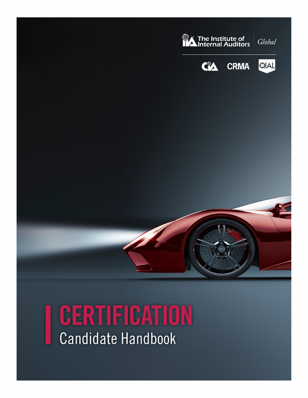

# CERTIFICATION **Candidate Handbook**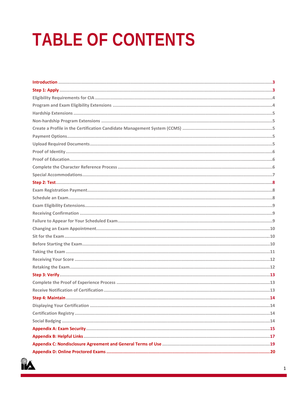# **TABLE OF CONTENTS**

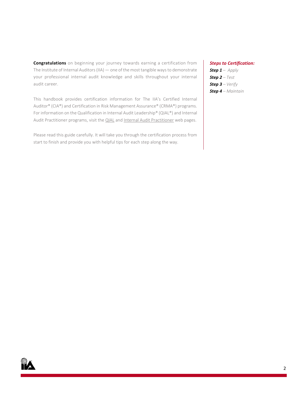**Congratulations** on beginning your journey towards earning a certification from The Institute of Internal Auditors (IIA) — one of the most tangible ways to demonstrate your professional internal audit knowledge and skills throughout your internal audit career.

This handbook provides certification information for The IIA's Certified Internal Auditor® (CIA®) and Certification in Risk Management Assurance® (CRMA®) programs. For information on the Qualification in Internal Audit Leadership® (QIAL®) and Internal [Audit Practitioner](https://global.theiia.org/certification/cia-certification/Pages/Internal-Audit-Practitioner.aspx) programs, visit the **QIAL** and Internal Audit Practitioner web pages.

Please read this guide carefully. It will take you through the certification process from start to finish and provide you with helpful tips for each step along the way.

#### *Steps to Certification:*

*Step 1 – Apply Step 2 – Test Step 3 – Verify Step 4 – Maintain*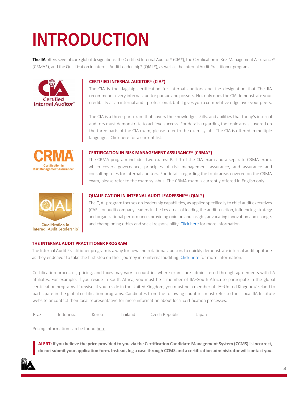# <span id="page-3-0"></span>**INTRODUCTION**

**The IIA** offers several core global designations: the Certified Internal Auditor® (CIA®), the Certification in Risk Management Assurance® (CRMA®), and the Qualification in Internal Audit Leadership® (QIAL®), as well asthe Internal Audit Practitioner program.



#### **CERTIFIED INTERNAL AUDITOR® (CIA®)**

The CIA is the flagship certification for internal auditors and the designation that The IIA recommends every internal auditor pursue and possess. Not only does the CIA demonstrate your credibility as an internal audit professional, but it gives you a competitive edge over your peers.

The CIA is a three-part exam that covers the knowledge, skills, and abilities that today's internal auditors must demonstrate to achieve success. For details regarding the topic areas covered on the three parts of the CIA exam, please refer to the exam syllabi. The CIA is offered in multiple languages. [Click here](https://global.theiia.org/certification/Pages/Exam-Language-Offerings.aspx) for a current list.



#### **CERTIFICATION IN RISK MANAGEMENT ASSURANCE® (CRMA®)**

The CRMA program includes two exams: Part 1 of the CIA exam and a separate CRMA exam, which covers governance, principles of risk management assurance, and assurance and consulting roles for internal auditors. For details regarding the topic areas covered on the CRMA exam, please refer to th[e exam syllabus.](https://global.theiia.org/certification/crma-certification/Pages/Exam-Syllabus.aspx) The CRMA exam is currently offered in English only.



#### **QUALIFICATION IN INTERNAL AUDIT LEADERSHIP® (QIAL®)**

The QIAL program focuses on leadership capabilities, as applied specifically to chief audit executives (CAEs) or audit company leaders in the key areas of leading the audit function, influencing strategy and organizational performance, providing opinion and insight, advocating innovation and change, and championing ethics and social responsibility. [Click here](https://global.theiia.org/qial/Pages/Qualification-in-Internal-Audit-Leadership.aspx) for more information.

#### **THE INTERNAL AUDIT PRACTITIONER PROGRAM**

The Internal Audit Practitioner program is a way for new and rotational auditors to quickly demonstrate internal audit aptitude as they endeavor to take the first step on their journey into internal auditing. [Click here](https://global.theiia.org/certification/cia-certification/Pages/Internal-Audit-Practitioner.aspx) for more information.

Certification processes, pricing, and taxes may vary in countries where exams are administered through agreements with IIA affiliates. For example, if you reside in South Africa, you must be a member of IIA–South Africa to participate in the global certification programs. Likewise, if you reside in the United Kingdom, you must be a member of IIA–United Kingdom/Ireland to participate in the global certification programs. Candidates from the following countries must refer to their local IIA Institute website or contact their local representative for more information about local certification processes:

| <b>Brazil</b> | ndonesia<br>Korea | hailand | izech Republic | Japan |
|---------------|-------------------|---------|----------------|-------|
|---------------|-------------------|---------|----------------|-------|

Pricing information can be found [here.](https://global.theiia.org/certification/Pages/Pricing-Structure.aspx)

**ALERT: If you believe the price provided to you via th[e Certification Candidate Management System](https://i7lp.integral7.com/durango/do/login?ownername=iia&channel=iia&basechannel=integral7) [\(CCMS\)](https://i7lp.integral7.com/durango/do/login?ownername=iia&channel=iia&basechannel=integral7) is incorrect, do not submit your application form. Instead, log a case through CCMS and a certification administrator will contact you.**

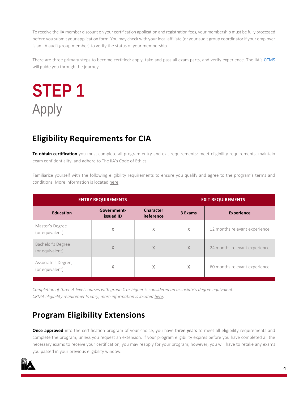To receive the IIA member discount on your certification application and registration fees, your membership must be fully processed before you submit your application form. You may check with your local affiliate (or your audit group coordinator if your employer is an IIA audit group member) to verify the status of your membership.

There are three primary steps to become certified: apply, take and pass all exam parts, and verify experience. The IIA'[s CCMS](https://i7lp.integral7.com/durango/do/login?ownername=iia&channel=iia&basechannel=integral7) will guide you through the journey.

<span id="page-4-0"></span>**STEP 1** Apply

## **Eligibility Requirements for CIA**

**To obtain certification** you must complete all program entry and exit requirements: meet eligibility requirements, maintain exam confidentiality, and adhere to The IIA's Code of Ethics.

Familiarize yourself with the following eligibility requirements to ensure you qualify and agree to the program's terms and conditions. More information is located [here.](https://global.theiia.org/certification/CIA-Certification/Pages/Eligibility-Requirements.aspx)

| <b>ENTRY REQUIREMENTS</b>              |                          | <b>EXIT REQUIREMENTS</b>      |         |                               |
|----------------------------------------|--------------------------|-------------------------------|---------|-------------------------------|
| <b>Education</b>                       | Government-<br>issued ID | <b>Character</b><br>Reference | 3 Exams | <b>Experience</b>             |
| Master's Degree<br>(or equivalent)     | X                        | X                             | X       | 12 months relevant experience |
| Bachelor's Degree<br>(or equivalent)   | $\times$                 | $\chi$                        | X       | 24 months relevant experience |
| Associate's Degree,<br>(or equivalent) | X                        | X                             | Χ       | 60 months relevant experience |

*Completion of three A-level courses with grade C or higher is considered an associate's degree equivalent. CRMA eligibility requirements vary; more information is locate[d here.](https://global.theiia.org/certification/crma-certification/Pages/Eligibility-Requirements.aspx)*

## <span id="page-4-1"></span>**Program Eligibility Extensions**

**Once approved** into the certification program of your choice, you have three years to meet all eligibility requirements and complete the program, unless you request an extension. If your program eligibility expires before you have completed all the necessary exams to receive your certification, you may reapply for your program; however, you will have to retake any exams you passed in your previous eligibility window.

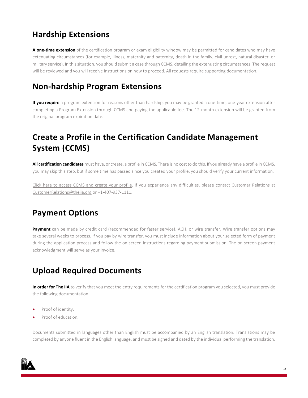## <span id="page-5-0"></span>**Hardship Extensions**

**A one-time extension** of the certification program or exam eligibility window may be permitted for candidates who may have extenuating circumstances (for example, illness, maternity and paternity, death in the family, civil unrest, natural disaster, or military service). In this situation, you should submit a case throug[h CCMS,](https://i7lp.integral7.com/durango/do/login?ownername=iia&channel=iia&basechannel=integral7) detailing the extenuating circumstances. The request will be reviewed and you will receive instructions on how to proceed. All requests require supporting documentation.

## <span id="page-5-1"></span>**Non-hardship Program Extensions**

**If you require** a program extension for reasons other than hardship, you may be granted a one-time, one-year extension after completing a Program Extension through [CCMS](https://i7lp.integral7.com/durango/do/login?ownername=iia&channel=iia&basechannel=integral7) and paying the applicable fee. The 12-month extension will be granted from the original program expiration date.

## <span id="page-5-2"></span>**Create a Profile in the Certification Candidate Management System (CCMS)**

**All certification candidates** must have, or create, a profile in CCMS. There is no cost to do this. If you already have a profile in CCMS, you may skip this step, but if some time has passed since you created your profile, you should verify your current information.

[Click here to access CCMS and create your profile.](https://i7lp.integral7.com/durango/do/login?ownername=iia&channel=iia&basechannel=integral7) If you experience any difficulties, please contact Customer Relations at [CustomerRelations@theiia.org](mailto:CustomerRelations@theiia.org) or +1-407-937-1111.

## <span id="page-5-3"></span>**Payment Options**

**Payment** can be made by credit card (recommended for faster service), ACH, or wire transfer. Wire transfer options may take several weeks to process. If you pay by wire transfer, you must include information about your selected form of payment during the application process and follow the on-screen instructions regarding payment submission. The on-screen payment acknowledgment will serve as your invoice.

## <span id="page-5-4"></span>**Upload Required Documents**

**In order for The IIA** to verify that you meet the entry requirements for the certification program you selected, you must provide the following documentation:

- Proof of identity.
- Proof of education.

Documents submitted in languages other than English must be accompanied by an English translation. Translations may be completed by anyone fluent in the English language, and must be signed and dated by the individual performing the translation.

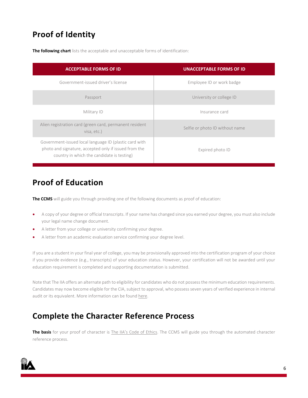## <span id="page-6-0"></span>**Proof of Identity**

**The following chart** lists the acceptable and unacceptable forms of identification:

| <b>ACCEPTABLE FORMS OF ID</b>                                                                                                                                 | <b>UNACCEPTABLE FORMS OF ID</b> |
|---------------------------------------------------------------------------------------------------------------------------------------------------------------|---------------------------------|
| Government-issued driver's license                                                                                                                            | Employee ID or work badge       |
| Passport                                                                                                                                                      | University or college ID        |
| Military ID                                                                                                                                                   | Insurance card                  |
| Alien registration card (green card, permanent resident<br>visa, etc.)                                                                                        | Selfie or photo ID without name |
| Government-issued local language ID (plastic card with<br>photo and signature, accepted only if issued from the<br>country in which the candidate is testing) | Expired photo ID                |

## <span id="page-6-1"></span>**Proof of Education**

**The CCMS** will guide you through providing one of the following documents as proof of education:

- A copy of your degree or official transcripts. If your name has changed since you earned your degree, you must also include your legal name change document.
- A letter from your college or university confirming your degree.
- A letter from an academic evaluation service confirming your degree level.

If you are a student in your final year of college, you may be provisionally approved into the certification program of your choice if you provide evidence (e.g., transcripts) of your education status. However, your certification will not be awarded until your education requirement is completed and supporting documentation is submitted.

Note that The IIA offers an alternate path to eligibility for candidates who do not possess the minimum education requirements. Candidates may now become eligible for the CIA, subject to approval, who possess seven years of verified experience in internal audit or its equivalent. More information can be found [here.](https://global.theiia.org/certification/cia-certification/Pages/Eligibility-Requirements.aspx)

## <span id="page-6-2"></span>**Complete the Character Reference Process**

**The basis** for your proof of character is [The IIA's Code of Ethics.](https://global.theiia.org/standards-guidance/mandatory-guidance/Pages/Code-of-Ethics.aspx) The CCMS will guide you through the automated character reference process.

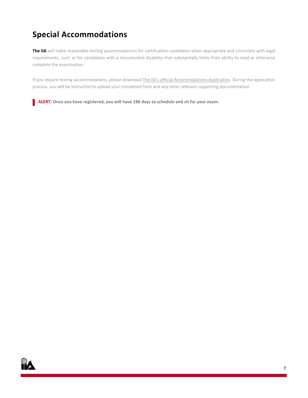## <span id="page-7-0"></span>**Special Accommodations**

**The IIA** will make reasonable testing accommodations for certification candidates when appropriate and consistent with legal requirements, such as for candidates with a documented disability that substantially limits their ability to read or otherwise complete the examination.

If you require testing accommodations, please download [The IIA's official Accommodations Application.](https://dl.theiia.org/Documents/IIA-Accommodations-Application.pdf) During the application process, you will be instructed to upload your completed form and any other relevant supporting documentation.

**ALERT: Once you have registered, you will have 180 days to schedule and sit for your exam.**

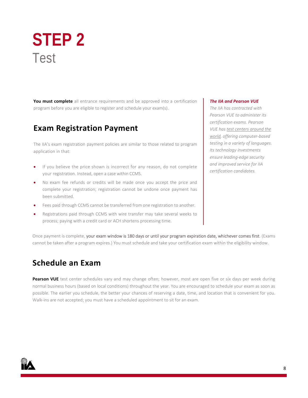## <span id="page-8-0"></span>**STEP 2** Test

**You must complete** all entrance requirements and be approved into a certification program before you are eligible to register and schedule your exam(s).

## <span id="page-8-1"></span>**Exam Registration Payment**

The IIA's exam registration payment policies are similar to those related to program application in that:

- If you believe the price shown is incorrect for any reason, do not complete your registration. Instead, open a case within CCMS.
- No exam fee refunds or credits will be made once you accept the price and complete your registration; registration cannot be undone once payment has been submitted.
- Fees paid through CCMS cannot be transferred from one registration to another.
- Registrations paid through CCMS with wire transfer may take several weeks to process; paying with a credit card or ACH shortens processing time.

#### *Pearson VUE to administer its*

*The IIA and Pearson VUE The IIA has contracted with* 

*certification exams. Pearson VUE ha[s test centers around the](https://home.pearsonvue.com/iia)  [world,](https://home.pearsonvue.com/iia) offering computer-based testing in a variety of languages. Its technology investments ensure leading-edge security and improved service for IIA certification candidates.*

Once payment is complete, your exam window is 180 days or until your program expiration date, whichever comes first. (Exams cannot be taken after a program expires.) You must schedule and take your certification exam within the eligibility window.

## <span id="page-8-2"></span>**Schedule an Exam**

Pearson VUE test center schedules vary and may change often; however, most are open five or six days per week during normal business hours (based on local conditions) throughout the year. You are encouraged to schedule your exam as soon as possible. The earlier you schedule, the better your chances of reserving a date, time, and location that is convenient for you. Walk-ins are not accepted; you must have a scheduled appointment to sit for an exam.

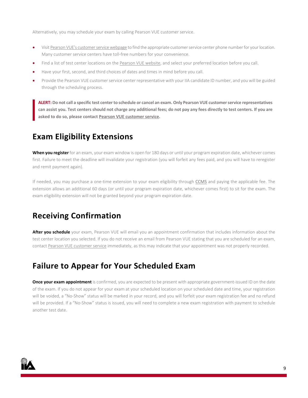Alternatively, you may schedule your exam by calling Pearson VUE customer service.

- Visi[t Pearson VUE's customer service webpage](http://www.pearsonvue.com/iia/contact/) to find the appropriate customer service center phone number for your location. Many customer service centers have toll-free numbers for your convenience.
- Find a list of test center locations on the [Pearson VUE website,](http://www.pearsonvue.com/iia/contact/) and select your preferred location before you call.
- Have your first, second, and third choices of dates and times in mind before you call.
- Provide the Pearson VUE customer service center representative with your IIA candidate ID number, and you will be guided through the scheduling process.

**ALERT: Do not call a specific test center to schedule or cancel an exam. Only Pearson VUE customer service representatives can assist you. Test centers should not charge any additional fees; do not pay any fees directly to test centers. If you are asked to do so, please contac[t Pearson VUE customer service.](http://www.pearsonvue.com/iia/contact/)**

## <span id="page-9-0"></span>**Exam Eligibility Extensions**

**When you register**for an exam, your exam window is open for 180 days or until your program expiration date, whichever comes first. Failure to meet the deadline will invalidate your registration (you will forfeit any fees paid, and you will have to reregister and remit payment again).

If needed, you may purchase a one-time extension to your exam eligibility through [CCMS](https://i7lp.integral7.com/durango/do/login?ownername=iia&channel=iia&basechannel=integral7) and paying the applicable fee. The extension allows an additional 60 days (or until your program expiration date, whichever comes first) to sit for the exam. The exam eligibility extension will not be granted beyond your program expiration date.

## <span id="page-9-1"></span>**Receiving Confirmation**

**After you schedule** your exam, Pearson VUE will email you an appointment confirmation that includes information about the test center location you selected. If you do not receive an email from Pearson VUE stating that you are scheduled for an exam, contac[t Pearson VUE customer service](http://www.pearsonvue.com/iia/contact/) immediately, as this may indicate that your appointment was not properly recorded.

## <span id="page-9-2"></span>**Failure to Appear for Your Scheduled Exam**

**Once your exam appointment** is confirmed, you are expected to be present with appropriate government-issued ID on the date of the exam. If you do not appear for your exam at your scheduled location on your scheduled date and time, your registration will be voided, a "No-Show" status will be marked in your record, and you will forfeit your exam registration fee and no refund will be provided. If a "No-Show" status is issued, you will need to complete a new exam registration with payment to schedule another test date.

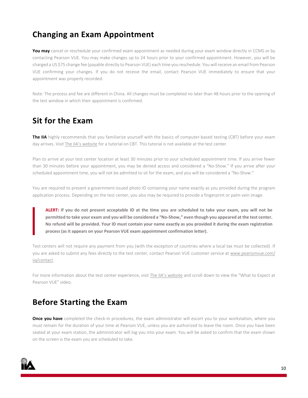## <span id="page-10-0"></span>**Changing an Exam Appointment**

**You may** cancel or reschedule your confirmed exam appointment as needed during your exam window directly in CCMS or by contacting Pearson VUE. You may make changes up to 24 hours prior to your confirmed appointment. However, you will be charged a US \$75 change fee (payable directly to Pearson VUE) each time you reschedule. You will receive an email from Pearson VUE confirming your changes. If you do not receive the email, contact Pearson VUE immediately to ensure that your appointment was properly recorded.

Note: The process and fee are different in China. All changes must be completed no later than 48 hours prior to the opening of the test window in which their appointment is confirmed.

## <span id="page-10-1"></span>**Sit for the Exam**

**The IIA** highly recommends that you familiarize yourself with the basics of computer-based testing (CBT) before your exam day arrives. Visit [The IIA's website](https://global.theiia.org/certification/Pages/CBT-Exam-Tutorial.aspx) for a tutorial on CBT. This tutorial is not available at the test center.

Plan to arrive at your test center location at least 30 minutes prior to your scheduled appointment time. If you arrive fewer than 30 minutes before your appointment, you may be denied access and considered a "No-Show." If you arrive after your scheduled appointment time, you will not be admitted to sit for the exam, and you will be considered a "No-Show."

You are required to present a government-issued photo ID containing your name exactly as you provided during the program application process. Depending on the test center, you also may be required to provide a fingerprint or palm vein image.

**ALERT: If you do not present acceptable ID at the time you are scheduled to take your exam, you will not be permitted to take your exam and you will be considered a "No-Show," even though you appeared at the test center. No refund will be provided. Your ID must contain your name exactly as you provided it during the exam registration process (as it appears on your Pearson VUE exam appointment confirmation letter).**

Test centers will not require any payment from you (with the exception of countries where a local tax must be collected). If you are asked to submit any fees directly to the test center, contact Pearson VUE customer service at [www.pearsonvue.com/](http://www.pearsonvue.com/iia/contact) [iia/contact.](http://www.pearsonvue.com/iia/contact)

For more information about the test center experience, visit [The IIA's website](https://global.theiia.org/certification/Pages/exam-security.aspx) and scroll down to view the "What to Expect at Pearson VUE" video.

## <span id="page-10-2"></span>**Before Starting the Exam**

**Once you have** completed the check-in procedures, the exam administrator will escort you to your workstation, where you must remain for the duration of your time at Pearson VUE, unless you are authorized to leave the room. Once you have been seated at your exam station, the administrator will log you into your exam. You will be asked to confirm that the exam shown on the screen is the exam you are scheduled to take.

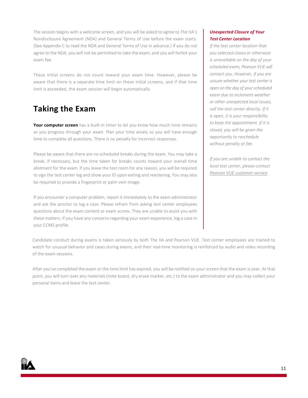The session begins with a welcome screen, and you will be asked to agree to The IIA's Nondisclosure Agreement (NDA) and General Terms of Use before the exam starts. (See Appendix C to read the NDA and General Terms of Use in advance.) If you do not agree to the NDA, you will not be permitted to take the exam, and you will forfeit your exam fee.

These initial screens do not count toward your exam time. However, please be aware that there is a separate time limit on these initial screens, and if that time limit is exceeded, the exam session will begin automatically.

## <span id="page-11-0"></span>**Taking the Exam**

**Your computer screen** has a built-in timer to let you know how much time remains as you progress through your exam. Plan your time wisely so you will have enough time to complete all questions. There is no penalty for incorrect responses.

Please be aware that there are no scheduled breaks during the exam. You may take a break, if necessary, but the time taken for breaks counts toward your overall time allotment for the exam. If you leave the test room for any reason, you will be required to sign the test center log and show your ID upon exiting and reentering. You may also be required to provide a fingerprint or palm vein image.

If you encounter a computer problem, report it immediately to the exam administrator and ask the proctor to log a case. Please refrain from asking test center employees questions about the exam content or exam scores. They are unable to assist you with these matters. If you have any concerns regarding your exam experience, log a case in your CCMS profile.

Candidate conduct during exams is taken seriously by both The IIA and Pearson VUE. Test center employees are trained to watch for unusual behavior and cases during exams, and their real-time monitoring is reinforced by audio and video recording of the exam sessions.

After you've completed the exam or the time limit has expired, you will be notified on your screen that the exam is over. At that point, you will turn over any materials (note board, dry erase marker, etc.) to the exam administrator and you may collect your personal items and leave the test center.

#### *Unexpected Closure of Your Test Center Location*

*If the test center location that you selected closes or otherwise is unavailable on the day of your scheduled exam, Pearson VUE will contact you. However, if you are unsure whether your test center is open on the day of your scheduled exam due to inclement weather or other unexpected local issues, call the test center directly. If it is open, it is your responsibility to keep the appointment. If it is closed, you will be given the opportunity to reschedule without penalty or fee.*

*If you are unable to contact the local test center, please contact [Pearson VUE customer service.](http://www.pearsonvue.com/iia/contact/)*

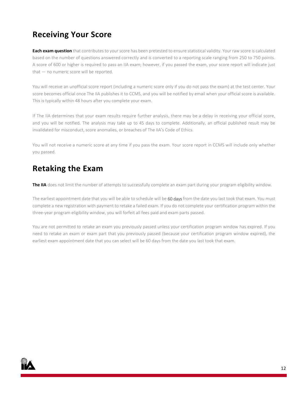## <span id="page-12-0"></span>**Receiving Your Score**

**Each exam question** that contributes to your score has been pretested to ensure statistical validity. Your raw score is calculated based on the number of questions answered correctly and is converted to a reporting scale ranging from 250 to 750 points. A score of 600 or higher is required to pass an IIA exam; however, if you passed the exam, your score report will indicate just that — no numeric score will be reported.

You will receive an unofficial score report (including a numeric score only if you do not pass the exam) at the test center. Your score becomes official once The IIA publishes it to CCMS, and you will be notified by email when your official score is available. This is typically within 48 hours after you complete your exam.

If The IIA determines that your exam results require further analysis, there may be a delay in receiving your official score, and you will be notified. The analysis may take up to 45 days to complete. Additionally, an official published result may be invalidated for misconduct, score anomalies, or breaches of The IIA's Code of Ethics.

You will not receive a numeric score at any time if you pass the exam. Your score report in CCMS will include only whether you passed.

## <span id="page-12-1"></span>**Retaking the Exam**

The IIA does not limit the number of attempts to successfully complete an exam part during your program eligibility window.

The earliest appointment date that you will be able to schedule will be 60 days from the date you last took that exam. You must complete a new registration with payment to retake a failed exam. If you do not complete your certification program within the three-year program eligibility window, you will forfeit all fees paid and exam parts passed.

You are not permitted to retake an exam you previously passed unless your certification program window has expired. If you need to retake an exam or exam part that you previously passed (because your certification program window expired), the earliest exam appointment date that you can select will be 60 days from the date you last took that exam.

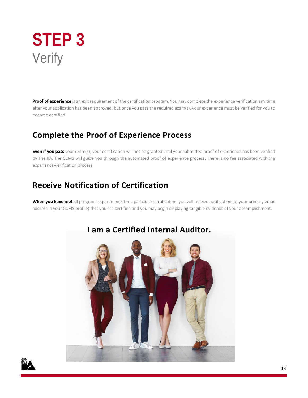<span id="page-13-0"></span>

**Proof of experience** is an exit requirement of the certification program. You may complete the experience verification any time after your application has been approved, but once you pass the required exam(s), your experience must be verified for you to become certified.

## <span id="page-13-1"></span>**Complete the Proof of Experience Process**

**Even if you pass** your exam(s), your certification will not be granted until your submitted proof of experience has been verified by The IIA. The CCMS will guide you through the automated proof of experience process. There is no fee associated with the experience-verification process.

## <span id="page-13-2"></span>**Receive Notification of Certification**

**When you have met** all program requirements for a particular certification, you will receive notification (at your primary email address in your CCMS profile) that you are certified and you may begin displaying tangible evidence of your accomplishment.



## **I am a Certified Internal Auditor.**

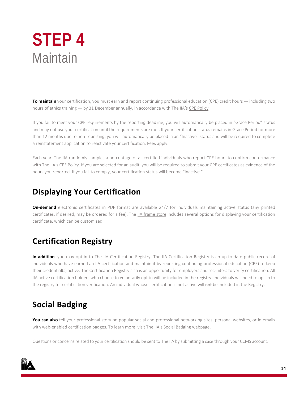## <span id="page-14-0"></span>**STEP 4** Maintain

**To maintain** your certification, you must earn and report continuing professional education (CPE) credit hours — including two hours of ethics training — by 31 December annually, in accordance with The IIA'[s CPE Policy.](https://global.theiia.org/certification/certified/Pages/CPE-Requirements.aspx)

If you fail to meet your CPE requirements by the reporting deadline, you will automatically be placed in "Grace Period" status and may not use your certification until the requirements are met. If your certification status remains in Grace Period for more than 12 months due to non-reporting, you will automatically be placed in an "Inactive" status and will be required to complete a reinstatement application to reactivate your certification. Fees apply.

Each year, The IIA randomly samples a percentage of all certified individuals who report CPE hours to confirm conformance with The IIA's CPE Policy. If you are selected for an audit, you will be required to submit your CPE certificates as evidence of the hours you reported. If you fail to comply, your certification status will become "Inactive."

## <span id="page-14-1"></span>**Displaying Your Certification**

**On-demand** electronic certificates in PDF format are available 24/7 for individuals maintaining active status (any printed certificates, if desired, may be ordered for a fee). The [IIA frame store](https://www.diplomaframe.com/iiad) includes several options for displaying your certification certificate, which can be customized.

## <span id="page-14-2"></span>**Certification Registry**

In addition, you may opt-in to [The IIA Certification Registry.](https://global.theiia.org/certification/Pages/The-IIA-Certification-Registry.aspx) The IIA Certification Registry is an up-to-date public record of individuals who have earned an IIA certification and maintain it by reporting continuing professional education (CPE) to keep their credential(s) active. The Certification Registry also is an opportunity for employers and recruiters to verify certification. All IIA active certification holders who choose to voluntarily opt-in will be included in the registry. Individuals will need to opt-in to the registry for certification verification. An individual whose certification is not active will not be included in the Registry.

## <span id="page-14-3"></span>**Social Badging**

**You can also** tell your professional story on popular social and professional networking sites, personal websites, or in emails with web-enabled certification badges. To learn more, visit The IIA'[s Social Badging webpage.](https://global.theiia.org/certification/Pages/Certifications-Social-Media-and-Badging.aspx)

Questions or concerns related to your certification should be sent to The IIA by submitting a case through your CCMS account.

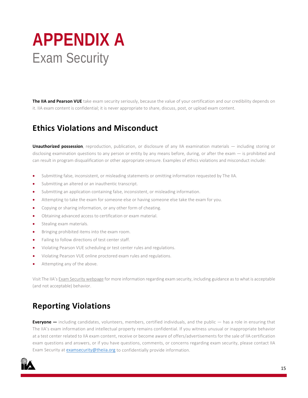## <span id="page-15-0"></span>**APPENDIX A** Exam Security

**The IIA and Pearson VUE** take exam security seriously, because the value of your certification and our credibility depends on it. IIA exam content is confidential; it is never appropriate to share, discuss, post, or upload exam content.

## **Ethics Violations and Misconduct**

**Unauthorized possession**, reproduction, publication, or disclosure of any IIA examination materials — including storing or disclosing examination questions to any person or entity by any means before, during, or after the exam — is prohibited and can result in program disqualification or other appropriate censure. Examples of ethics violations and misconduct include:

- Submitting false, inconsistent, or misleading statements or omitting information requested by The IIA.
- Submitting an altered or an inauthentic transcript.
- Submitting an application containing false, inconsistent, or misleading information.
- Attempting to take the exam for someone else or having someone else take the exam for you.
- Copying or sharing information, or any other form of cheating.
- Obtaining advanced access to certification or exam material.
- **•** Stealing exam materials.
- Bringing prohibited items into the exam room.
- Failing to follow directions of test center staff.
- Violating Pearson VUE scheduling or test center rules and regulations.
- Violating Pearson VUE online proctored exam rules and regulations.
- Attempting any of the above.

Visit The IIA'[s Exam Security webpage](https://global.theiia.org/certification/Pages/exam-security.aspx) for more information regarding exam security, including guidance as to what is acceptable (and not acceptable) behavior.

## **Reporting Violations**

**Everyone —** including candidates, volunteers, members, certified individuals, and the public — has a role in ensuring that The IIA's exam information and intellectual property remains confidential. If you witness unusual or inappropriate behavior at a test center related to IIA exam content, receive or become aware of offers/advertisements for the sale of IIA certification exam questions and answers, or if you have questions, comments, or concerns regarding exam security, please contact IIA Exam Security at [examsecurity@theiia.org](mailto:examsecurity@theiia.org) to confidentially provide information.

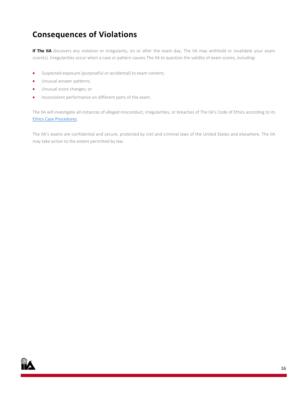## **Consequences of Violations**

If The IIA discovers any violation or irregularity, on or after the exam day, The IIA may withhold or invalidate your exam score(s). Irregularities occur when a case or pattern causes The IIA to question the validity of exam scores, including:

- Suspected exposure (purposeful or accidental) to exam content;
- Unusual answer patterns;
- Unusual score changes; or
- Inconsistent performance on different parts of the exam.

The IIA will investigate all instances of alleged misconduct, irregularities, or breaches of The IIA's Code of Ethics according to its [Ethics Case Procedures.](https://na.theiia.org/standards-guidance/Public%20Documents/Ethics-Case-Procedures.pdf)

The IIA's exams are confidential and secure, protected by civil and criminal laws of the United States and elsewhere. The IIA may take action to the extent permitted by law.

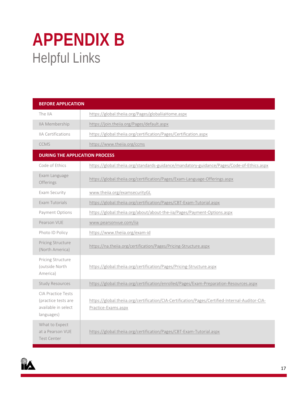## <span id="page-17-0"></span>**APPENDIX B** Helpful Links

| <b>BEFORE APPLICATION</b>                                                             |                                                                                                                        |
|---------------------------------------------------------------------------------------|------------------------------------------------------------------------------------------------------------------------|
| The IIA                                                                               | https://global.theiia.org/Pages/globaliiaHome.aspx                                                                     |
| IIA Membership                                                                        | https://join.theiia.org/Pages/default.aspx                                                                             |
| <b>IIA Certifications</b>                                                             | https://global.theiia.org/certification/Pages/Certification.aspx                                                       |
| <b>CCMS</b>                                                                           | https://www.theiia.org/ccms                                                                                            |
| <b>DURING THE APPLICATION PROCESS</b>                                                 |                                                                                                                        |
| Code of Ethics                                                                        | https://global.theiia.org/standards-guidance/mandatory-guidance/Pages/Code-of-Ethics.aspx                              |
| Exam Language<br>Offerings                                                            | https://global.theiia.org/certification/Pages/Exam-Language-Offerings.aspx                                             |
| Exam Security                                                                         | www.theiia.org/examsecurityGL                                                                                          |
| Exam Tutorials                                                                        | https://global.theiia.org/certification/Pages/CBT-Exam-Tutorial.aspx                                                   |
| Payment Options                                                                       | https://global.theiia.org/about/about-the-iia/Pages/Payment-Options.aspx                                               |
| Pearson VUE                                                                           | www.pearsonvue.com/iia                                                                                                 |
| Photo ID Policy                                                                       | https://www.theiia.org/exam-id                                                                                         |
| Pricing Structure<br>(North America)                                                  | https://na.theiia.org/certification/Pages/Pricing-Structure.aspx                                                       |
| Pricing Structure<br>(outside North<br>America)                                       | https://global.theiia.org/certification/Pages/Pricing-Structure.aspx                                                   |
| <b>Study Resources</b>                                                                | https://global.theiia.org/certification/enrolled/Pages/Exam-Preparation-Resources.aspx                                 |
| <b>CIA Practice Tests</b><br>(practice tests are<br>available in select<br>languages) | https://global.theiia.org/certification/CIA-Certification/Pages/Certified-Internal-Auditor-CIA-<br>Practice-Exams.aspx |
| What to Expect<br>at a Pearson VUE<br><b>Test Center</b>                              | https://global.theiia.org/certification/Pages/CBT-Exam-Tutorial.aspx                                                   |

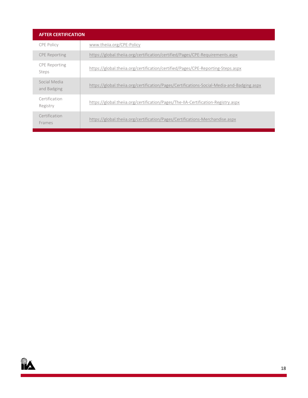| <b>AFTER CERTIFICATION</b>    |                                                                                            |  |
|-------------------------------|--------------------------------------------------------------------------------------------|--|
| <b>CPE Policy</b>             | www.theija.org/CPE-Policy                                                                  |  |
| <b>CPE Reporting</b>          | https://global.theija.org/certification/certified/Pages/CPE-Requirements.aspx              |  |
| <b>CPE</b> Reporting<br>Steps | https://global.theiia.org/certification/certified/Pages/CPE-Reporting-Steps.aspx           |  |
| Social Media<br>and Badging   | https://global.theiia.org/certification/Pages/Certifications-Social-Media-and-Badging.aspx |  |
| Certification<br>Registry     | https://global.theija.org/certification/Pages/The-IIA-Certification-Registry.aspx          |  |
| Certification<br>Frames       | https://global.theija.org/certification/Pages/Certifications-Merchandise.aspx              |  |

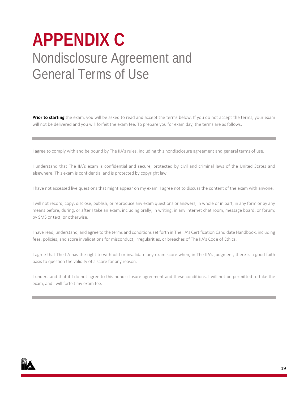## <span id="page-19-0"></span>**APPENDIX C** Nondisclosure Agreement and General Terms of Use

**Prior to starting** the exam, you will be asked to read and accept the terms below. If you do not accept the terms, your exam will not be delivered and you will forfeit the exam fee. To prepare you for exam day, the terms are as follows:

I agree to comply with and be bound by The IIA's rules, including this nondisclosure agreement and general terms of use.

I understand that The IIA's exam is confidential and secure, protected by civil and criminal laws of the United States and elsewhere. This exam is confidential and is protected by copyright law.

I have not accessed live questions that might appear on my exam. I agree not to discuss the content of the exam with anyone.

I will not record, copy, disclose, publish, or reproduce any exam questions or answers, in whole or in part, in any form or by any means before, during, or after I take an exam, including orally; in writing; in any internet chat room, message board, or forum; by SMS or text; or otherwise.

I have read, understand, and agree to the terms and conditions set forth in The IIA's Certification Candidate Handbook, including fees, policies, and score invalidations for misconduct, irregularities, or breaches of The IIA's Code of Ethics.

I agree that The IIA has the right to withhold or invalidate any exam score when, in The IIA's judgment, there is a good faith basis to question the validity of a score for any reason.

I understand that if I do not agree to this nondisclosure agreement and these conditions, I will not be permitted to take the exam, and I will forfeit my exam fee.

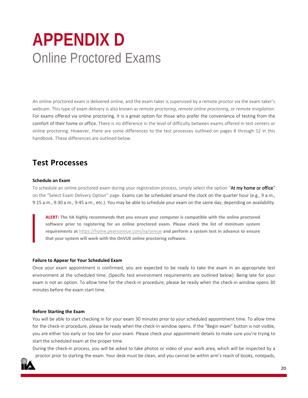## **APPENDIX D** Online Proctored Exams

An online proctored exam is delivered online, and the exam taker is supervised by a remote proctor via the exam taker's webcam. This type of exam delivery is also known as *remote proctoring*, *remote online proctoring*, or *remote invigilation*. For exams offered via online proctoring, it is a great option for those who prefer the convenience of testing from the comfort of their home or office. There is no difference in the level of difficulty between exams offered in test centers or online proctoring. However, there are some differences to the test processes outlined on pages 8 through 12 in this handbook. These differences are outlined below.

### **Test Processes**

#### **Schedule an Exam**

To schedule an online proctored exam during your registration process, simply select the option "At my home or office" on the "Select Exam Delivery Option" page. Exams can be scheduled around the clock on the quarter hour (e.g., 9 a.m., 9:15 a.m., 9:30 a.m., 9:45 a.m., etc.). You may be able to schedule your exam on the same day, depending on availability.

**ALERT: The IIA highly recommends that you ensure your computer is compatible with the online proctored software prior to registering for an online proctored exam. Please check the list of minimum system requirements at** [https://home.pearsonvue.com/iia/onvue](https://home.pearsonvue.com/abim/onvue) **and perform a system test in advance to ensure that your system will work with the OnVUE online proctoring software.** 

#### **Failure to Appear for Your Scheduled Exam**

Once your exam appointment is confirmed, you are expected to be ready to take the exam in an appropriate test environment at the scheduled time. (Specific test environment requirements are outlined below). Being late for your exam is not an option. To allow time for the check-in procedure, please be ready when the check-in window opens 30 minutes before the exam start time.

#### **Before Starting the Exam**

You will be able to start checking in for your exam 30 minutes prior to your scheduled appointment time. To allow time for the check-in procedure, please be ready when the check-in window opens. If the "Begin exam" button is not visible, you are either too early or too late for your exam. Please check your appointment details to make sure you're trying to start the scheduled exam at the proper time.

During the check-in process, you will be asked to take photos or video of your work area, which will be inspected by a proctor prior to starting the exam. Your desk must be clean, and you cannot be within arm's reach of books, notepads,

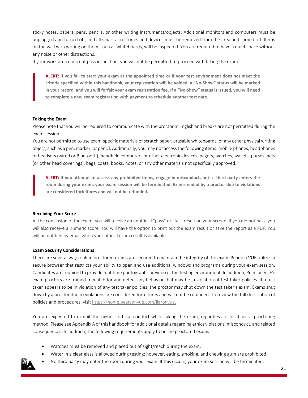sticky notes, papers, pens, pencils, or other writing instruments/objects. Additional monitors and computers must be unplugged and turned off, and all smart accessories and devices must be removed from the area and turned off. Items on the wall with writing on them, such as whiteboards, will be inspected. You are required to have a quiet space without any noise or other distractions.

If your work area does not pass inspection, you will not be permitted to proceed with taking the exam.

**ALERT: If you fail to start your exam at the appointed time or if your test environment does not meet the criteria specified within this handbook, your registration will be voided, a "No-Show" status will be marked in your record, and you will forfeit your exam registration fee. If a "No-Show" status is issued, you will need to complete a new exam registration with payment to schedule another test date.**

#### **Taking the Exam**

Please note that you will be required to communicate with the proctor in English and breaks are not permitted during the exam session.

You are not permitted to use exam-specific materials or scratch paper, erasable whiteboards, or any other physical writing object, such as a pen, marker, or pencil. Additionally, you may not access the following items: mobile phones, headphones or headsets (wired or Bluetooth), handheld computers or other electronic devices, pagers, watches, wallets, purses, hats (or other head coverings), bags, coats, books, notes, or any other materials not specifically approved.

**ALERT: If you attempt to access any prohibited items, engage in misconduct, or if a third party enters the room during your exam, your exam session will be terminated. Exams ended by a proctor due to violations are considered forfeitures and will not be refunded.**

#### **Receiving Your Score**

At the conclusion of the exam, you will receive an unofficial "pass" or "fail" result on your screen. If you did not pass, you will also receive a numeric score. You will have the option to print out the exam result or save the report as a PDF. You will be notified by email when your official exam result is available.

#### **Exam Security Considerations**

There are several ways online proctored exams are secured to maintain the integrity of the exam. Pearson VUE utilizes a secure browser that restricts your ability to open and use additional windows and programs during your exam session. Candidates are required to provide real-time photographs or video of the testing environment. In addition, Pearson VUE's exam proctors are trained to watch for and detect any behavior that may be in violation of test taker policies. If a test taker appears to be in violation of any test taker policies, the proctor may shut down the test taker's exam. Exams shut down by a proctor due to violations are considered forfeitures and will not be refunded. To review the full description of policies and procedures, visit [https://home.pearsonvue.com/iia/onvue.](https://home.pearsonvue.com/abim/onvue)

You are expected to exhibit the highest ethical conduct while taking the exam, regardless of location or proctoring method. Please see Appendix A of this handbook for additional details regarding ethics violations, misconduct, and related consequences. In addition, the following requirements apply to online proctored exams:

- Watches must be removed and placed out of sight/reach during the exam.
- Water in a clear glass is allowed during testing; however, eating, smoking, and chewing gum are prohibited.
- No third party may enter the room during your exam. If this occurs, your exam session will be terminated.

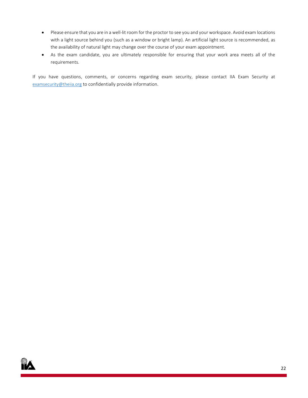- Please ensure that you are in a well-lit room for the proctor to see you and your workspace. Avoid exam locations with a light source behind you (such as a window or bright lamp). An artificial light source is recommended, as the availability of natural light may change over the course of your exam appointment.
- As the exam candidate, you are ultimately responsible for ensuring that your work area meets all of the requirements.

If you have questions, comments, or concerns regarding exam security, please contact IIA Exam Security at [examsecurity@theiia.org](mailto:examsecurity@theiia.org) to confidentially provide information.